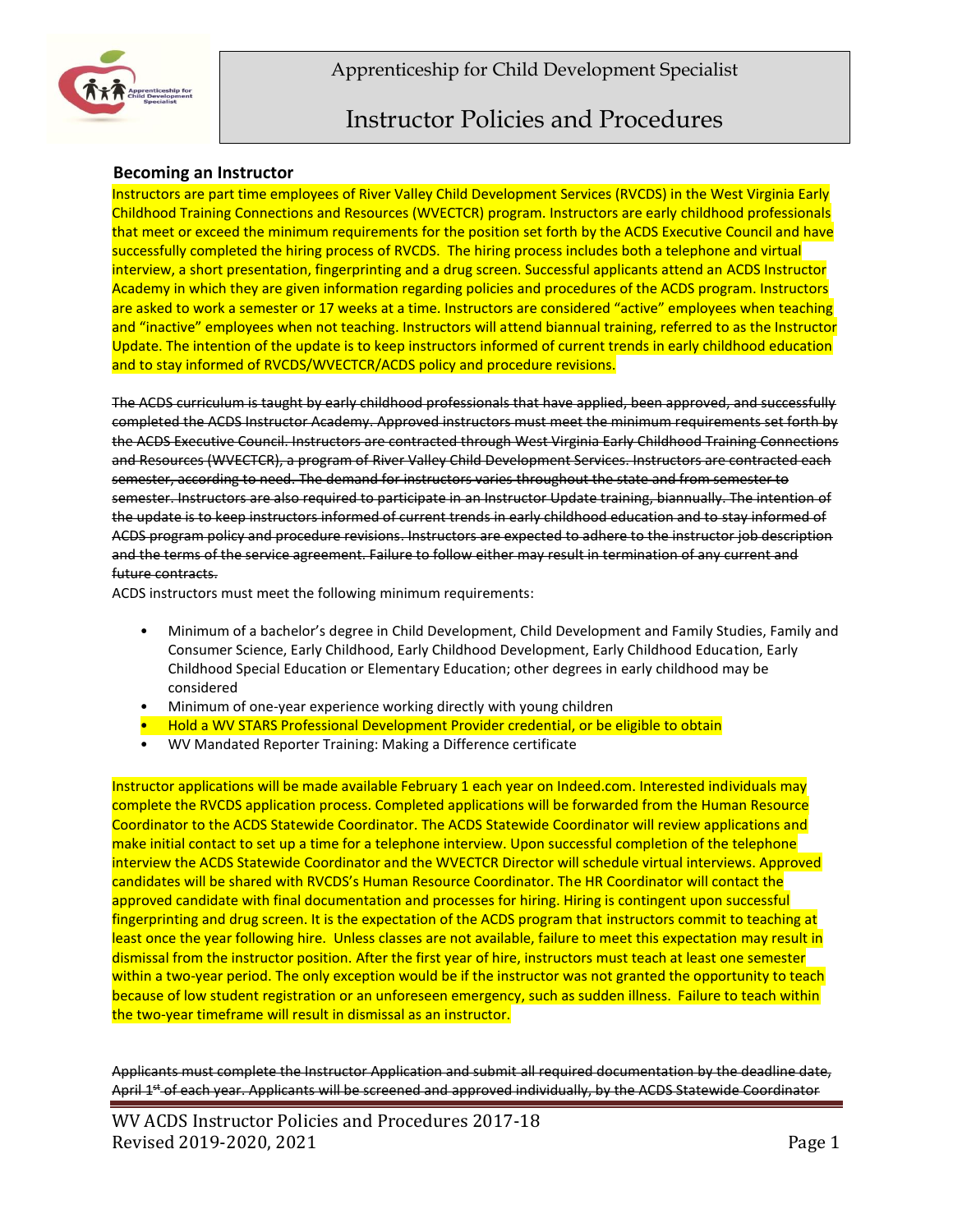



## **Becoming an Instructor**

Instructors are part time employees of River Valley Child Development Services (RVCDS) in the West Virginia Early Childhood Training Connections and Resources (WVECTCR) program. Instructors are early childhood professionals that meet or exceed the minimum requirements for the position set forth by the ACDS Executive Council and have successfully completed the hiring process of RVCDS. The hiring process includes both a telephone and virtual interview, a short presentation, fingerprinting and a drug screen. Successful applicants attend an ACDS Instructor Academy in which they are given information regarding policies and procedures of the ACDS program. Instructors are asked to work a semester or 17 weeks at a time. Instructors are considered "active" employees when teaching and "inactive" employees when not teaching. Instructors will attend biannual training, referred to as the Instructor Update. The intention of the update is to keep instructors informed of current trends in early childhood education and to stay informed of RVCDS/WVECTCR/ACDS policy and procedure revisions.

The ACDS curriculum is taught by early childhood professionals that have applied, been approved, and successfully completed the ACDS Instructor Academy. Approved instructors must meet the minimum requirements set forth by the ACDS Executive Council. Instructors are contracted through West Virginia Early Childhood Training Connections and Resources (WVECTCR), a program of River Valley Child Development Services. Instructors are contracted each semester, according to need. The demand for instructors varies throughout the state and from semester to semester. Instructors are also required to participate in an Instructor Update training, biannually. The intention of the update is to keep instructors informed of current trends in early childhood education and to stay informed of ACDS program policy and procedure revisions. Instructors are expected to adhere to the instructor job description and the terms of the service agreement. Failure to follow either may result in termination of any current and future contracts.

ACDS instructors must meet the following minimum requirements:

- Minimum of a bachelor's degree in Child Development, Child Development and Family Studies, Family and Consumer Science, Early Childhood, Early Childhood Development, Early Childhood Education, Early Childhood Special Education or Elementary Education; other degrees in early childhood may be considered
- Minimum of one-year experience working directly with young children
- Hold a WV STARS Professional Development Provider credential, or be eligible to obtain
- WV Mandated Reporter Training: Making a Difference certificate

Instructor applications will be made available February 1 each year on Indeed.com. Interested individuals may complete the RVCDS application process. Completed applications will be forwarded from the Human Resource Coordinator to the ACDS Statewide Coordinator. The ACDS Statewide Coordinator will review applications and make initial contact to set up a time for a telephone interview. Upon successful completion of the telephone interview the ACDS Statewide Coordinator and the WVECTCR Director will schedule virtual interviews. Approved candidates will be shared with RVCDS's Human Resource Coordinator. The HR Coordinator will contact the approved candidate with final documentation and processes for hiring. Hiring is contingent upon successful fingerprinting and drug screen. It is the expectation of the ACDS program that instructors commit to teaching at least once the year following hire. Unless classes are not available, failure to meet this expectation may result in dismissal from the instructor position. After the first year of hire, instructors must teach at least one semester within a two-year period. The only exception would be if the instructor was not granted the opportunity to teach because of low student registration or an unforeseen emergency, such as sudden illness. Failure to teach within the two-year timeframe will result in dismissal as an instructor.

Applicants must complete the Instructor Application and submit all required documentation by the deadline date, April 1st of each year. Applicants will be screened and approved individually, by the ACDS Statewide Coordinator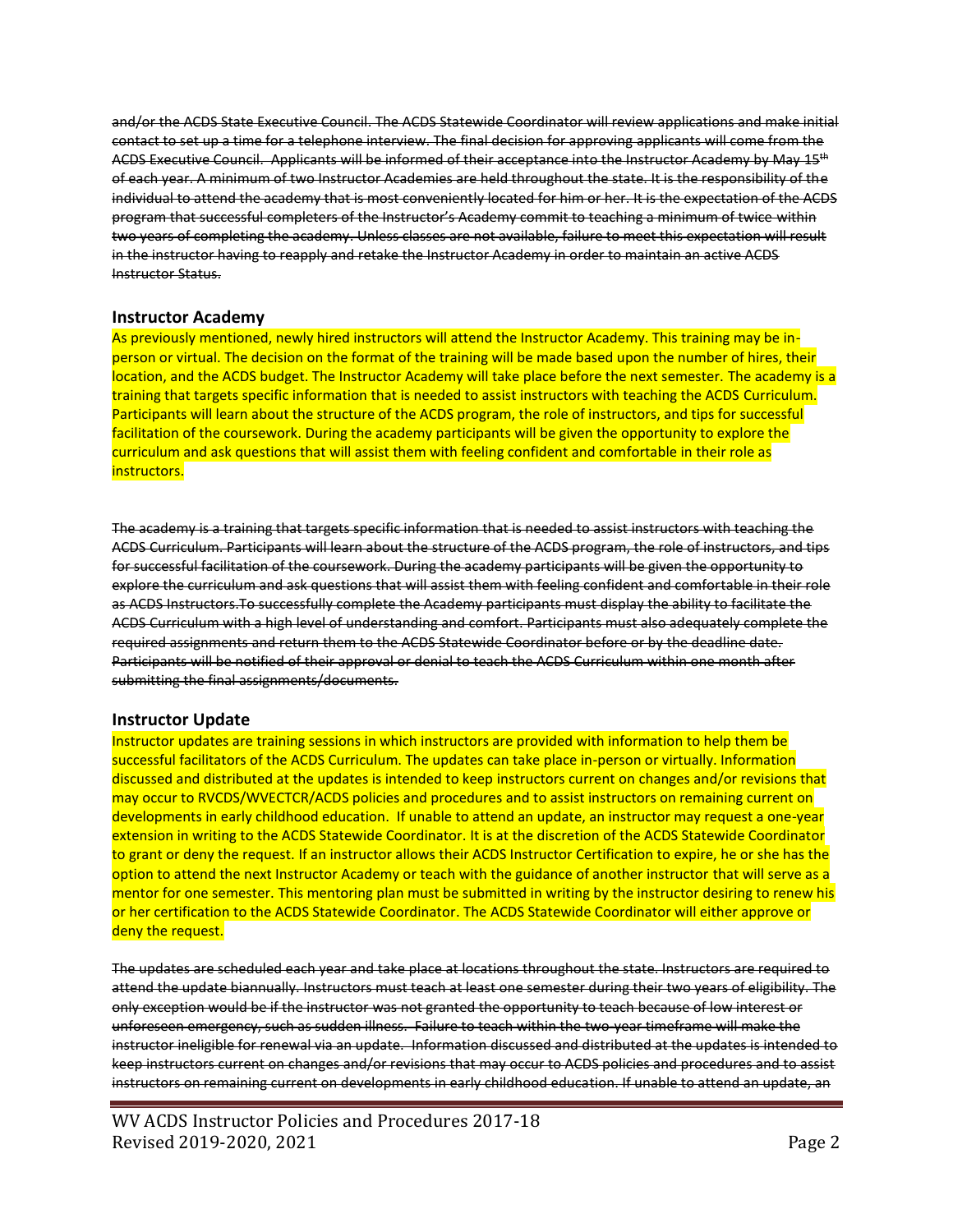and/or the ACDS State Executive Council. The ACDS Statewide Coordinator will review applications and make initial contact to set up a time for a telephone interview. The final decision for approving applicants will come from the ACDS Executive Council. Applicants will be informed of their acceptance into the Instructor Academy by May 15<sup>th</sup> of each year. A minimum of two Instructor Academies are held throughout the state. It is the responsibility of the individual to attend the academy that is most conveniently located for him or her. It is the expectation of the ACDS program that successful completers of the Instructor's Academy commit to teaching a minimum of twice within two years of completing the academy. Unless classes are not available, failure to meet this expectation will result in the instructor having to reapply and retake the Instructor Academy in order to maintain an active ACDS Instructor Status.

### **Instructor Academy**

As previously mentioned, newly hired instructors will attend the Instructor Academy. This training may be inperson or virtual. The decision on the format of the training will be made based upon the number of hires, their location, and the ACDS budget. The Instructor Academy will take place before the next semester. The academy is a training that targets specific information that is needed to assist instructors with teaching the ACDS Curriculum. Participants will learn about the structure of the ACDS program, the role of instructors, and tips for successful facilitation of the coursework. During the academy participants will be given the opportunity to explore the curriculum and ask questions that will assist them with feeling confident and comfortable in their role as instructors.

The academy is a training that targets specific information that is needed to assist instructors with teaching the ACDS Curriculum. Participants will learn about the structure of the ACDS program, the role of instructors, and tips for successful facilitation of the coursework. During the academy participants will be given the opportunity to explore the curriculum and ask questions that will assist them with feeling confident and comfortable in their role as ACDS Instructors.To successfully complete the Academy participants must display the ability to facilitate the ACDS Curriculum with a high level of understanding and comfort. Participants must also adequately complete the required assignments and return them to the ACDS Statewide Coordinator before or by the deadline date. Participants will be notified of their approval or denial to teach the ACDS Curriculum within one month after submitting the final assignments/documents.

#### **Instructor Update**

Instructor updates are training sessions in which instructors are provided with information to help them be successful facilitators of the ACDS Curriculum. The updates can take place in-person or virtually. Information discussed and distributed at the updates is intended to keep instructors current on changes and/or revisions that may occur to RVCDS/WVECTCR/ACDS policies and procedures and to assist instructors on remaining current on developments in early childhood education. If unable to attend an update, an instructor may request a one-year extension in writing to the ACDS Statewide Coordinator. It is at the discretion of the ACDS Statewide Coordinator to grant or deny the request. If an instructor allows their ACDS Instructor Certification to expire, he or she has the option to attend the next Instructor Academy or teach with the guidance of another instructor that will serve as a mentor for one semester. This mentoring plan must be submitted in writing by the instructor desiring to renew his or her certification to the ACDS Statewide Coordinator. The ACDS Statewide Coordinator will either approve or deny the request.

The updates are scheduled each year and take place at locations throughout the state. Instructors are required to attend the update biannually. Instructors must teach at least one semester during their two years of eligibility. The only exception would be if the instructor was not granted the opportunity to teach because of low interest or unforeseen emergency, such as sudden illness. Failure to teach within the two-year timeframe will make the instructor ineligible for renewal via an update. Information discussed and distributed at the updates is intended to keep instructors current on changes and/or revisions that may occur to ACDS policies and procedures and to assist instructors on remaining current on developments in early childhood education. If unable to attend an update, an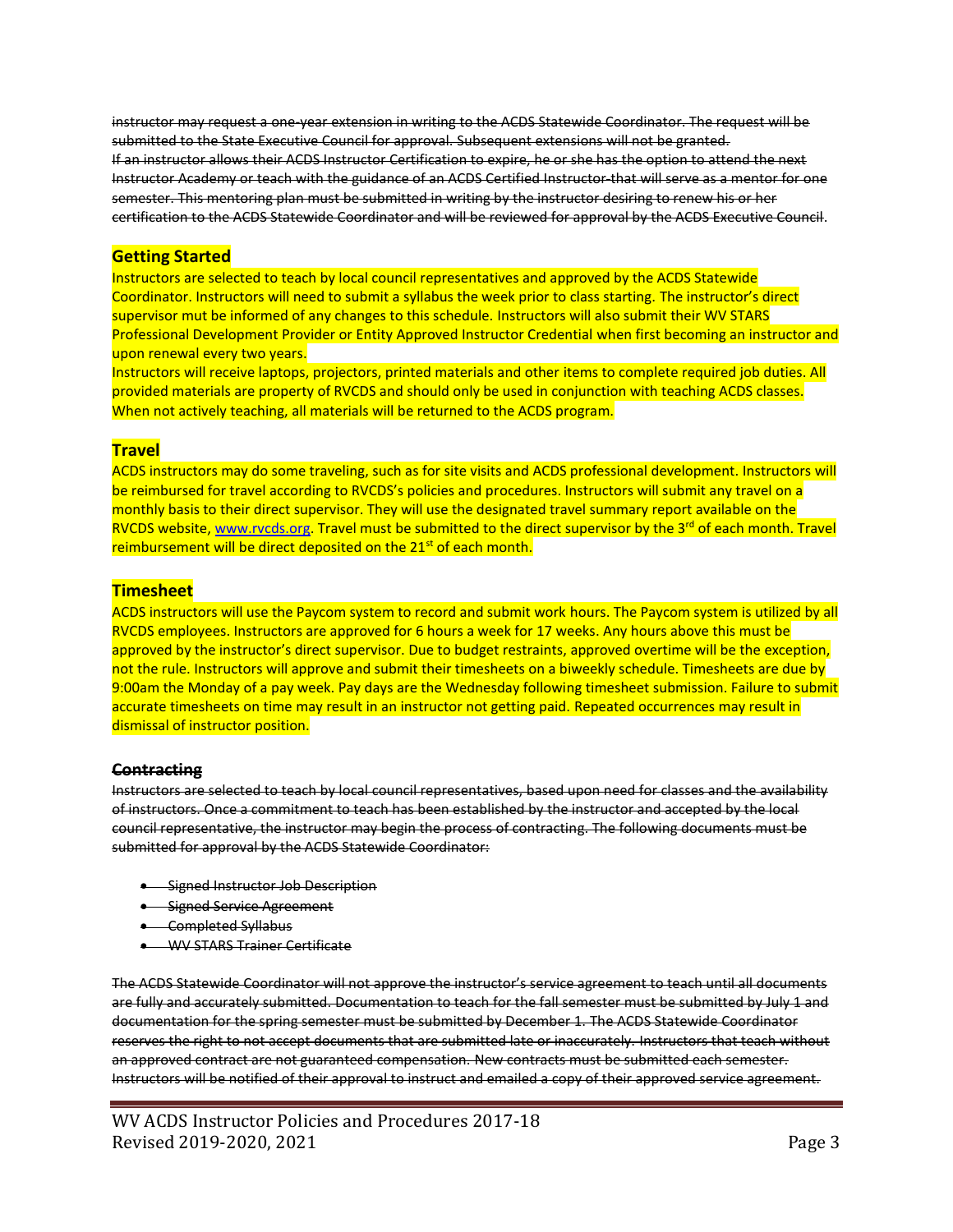instructor may request a one-year extension in writing to the ACDS Statewide Coordinator. The request will be submitted to the State Executive Council for approval. Subsequent extensions will not be granted. If an instructor allows their ACDS Instructor Certification to expire, he or she has the option to attend the next Instructor Academy or teach with the guidance of an ACDS Certified Instructor that will serve as a mentor for one semester. This mentoring plan must be submitted in writing by the instructor desiring to renew his or her certification to the ACDS Statewide Coordinator and will be reviewed for approval by the ACDS Executive Council.

## **Getting Started**

Instructors are selected to teach by local council representatives and approved by the ACDS Statewide Coordinator. Instructors will need to submit a syllabus the week prior to class starting. The instructor's direct supervisor mut be informed of any changes to this schedule. Instructors will also submit their WV STARS Professional Development Provider or Entity Approved Instructor Credential when first becoming an instructor and upon renewal every two years.

Instructors will receive laptops, projectors, printed materials and other items to complete required job duties. All provided materials are property of RVCDS and should only be used in conjunction with teaching ACDS classes. When not actively teaching, all materials will be returned to the ACDS program.

## **Travel**

ACDS instructors may do some traveling, such as for site visits and ACDS professional development. Instructors will be reimbursed for travel according to RVCDS's policies and procedures. Instructors will submit any travel on a monthly basis to their direct supervisor. They will use the designated travel summary report available on the RVCDS website, [www.rvcds.org.](http://www.rvcds.org/) Travel must be submitted to the direct supervisor by the 3<sup>rd</sup> of each month. Travel reimbursement will be direct deposited on the 21<sup>st</sup> of each month.

### **Timesheet**

ACDS instructors will use the Paycom system to record and submit work hours. The Paycom system is utilized by all RVCDS employees. Instructors are approved for 6 hours a week for 17 weeks. Any hours above this must be approved by the instructor's direct supervisor. Due to budget restraints, approved overtime will be the exception, not the rule. Instructors will approve and submit their timesheets on a biweekly schedule. Timesheets are due by 9:00am the Monday of a pay week. Pay days are the Wednesday following timesheet submission. Failure to submit accurate timesheets on time may result in an instructor not getting paid. Repeated occurrences may result in dismissal of instructor position.

#### **Contracting**

Instructors are selected to teach by local council representatives, based upon need for classes and the availability of instructors. Once a commitment to teach has been established by the instructor and accepted by the local council representative, the instructor may begin the process of contracting. The following documents must be submitted for approval by the ACDS Statewide Coordinator:

- Signed Instructor Job Description
- **•** Signed Service Agreement
- Completed Syllabus
- WV STARS Trainer Certificate

The ACDS Statewide Coordinator will not approve the instructor's service agreement to teach until all documents are fully and accurately submitted. Documentation to teach for the fall semester must be submitted by July 1 and documentation for the spring semester must be submitted by December 1. The ACDS Statewide Coordinator reserves the right to not accept documents that are submitted late or inaccurately. Instructors that teach without an approved contract are not guaranteed compensation. New contracts must be submitted each semester. Instructors will be notified of their approval to instruct and emailed a copy of their approved service agreement.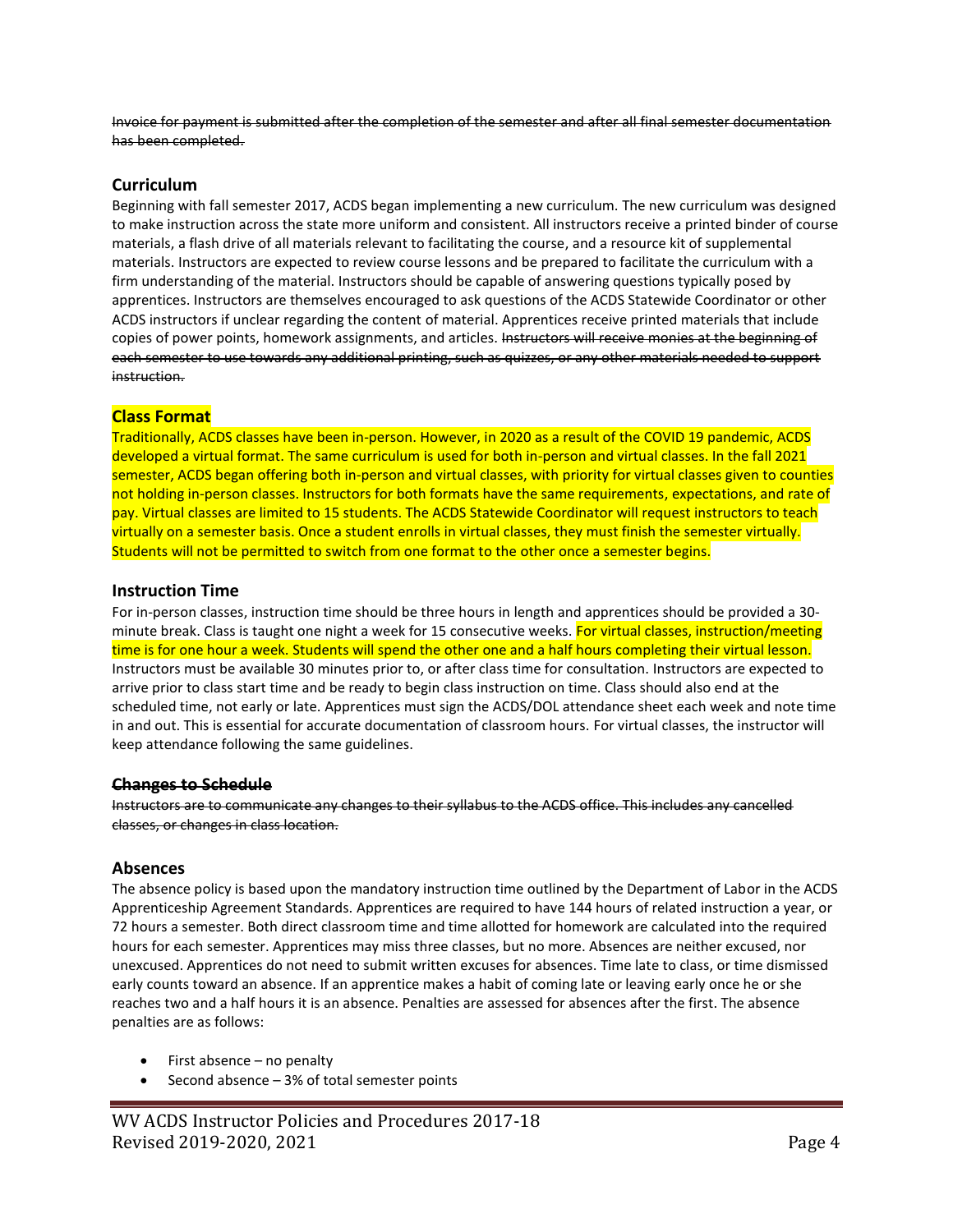Invoice for payment is submitted after the completion of the semester and after all final semester documentation has been completed.

### **Curriculum**

Beginning with fall semester 2017, ACDS began implementing a new curriculum. The new curriculum was designed to make instruction across the state more uniform and consistent. All instructors receive a printed binder of course materials, a flash drive of all materials relevant to facilitating the course, and a resource kit of supplemental materials. Instructors are expected to review course lessons and be prepared to facilitate the curriculum with a firm understanding of the material. Instructors should be capable of answering questions typically posed by apprentices. Instructors are themselves encouraged to ask questions of the ACDS Statewide Coordinator or other ACDS instructors if unclear regarding the content of material. Apprentices receive printed materials that include copies of power points, homework assignments, and articles. Instructors will receive monies at the beginning of each semester to use towards any additional printing, such as quizzes, or any other materials needed to support instruction.

## **Class Format**

Traditionally, ACDS classes have been in-person. However, in 2020 as a result of the COVID 19 pandemic, ACDS developed a virtual format. The same curriculum is used for both in-person and virtual classes. In the fall 2021 semester, ACDS began offering both in-person and virtual classes, with priority for virtual classes given to counties not holding in-person classes. Instructors for both formats have the same requirements, expectations, and rate of pay. Virtual classes are limited to 15 students. The ACDS Statewide Coordinator will request instructors to teach virtually on a semester basis. Once a student enrolls in virtual classes, they must finish the semester virtually. Students will not be permitted to switch from one format to the other once a semester begins.

### **Instruction Time**

For in-person classes, instruction time should be three hours in length and apprentices should be provided a 30 minute break. Class is taught one night a week for 15 consecutive weeks. For virtual classes, instruction/meeting time is for one hour a week. Students will spend the other one and a half hours completing their virtual lesson. Instructors must be available 30 minutes prior to, or after class time for consultation. Instructors are expected to arrive prior to class start time and be ready to begin class instruction on time. Class should also end at the scheduled time, not early or late. Apprentices must sign the ACDS/DOL attendance sheet each week and note time in and out. This is essential for accurate documentation of classroom hours. For virtual classes, the instructor will keep attendance following the same guidelines.

#### **Changes to Schedule**

Instructors are to communicate any changes to their syllabus to the ACDS office. This includes any cancelled classes, or changes in class location.

## **Absences**

The absence policy is based upon the mandatory instruction time outlined by the Department of Labor in the ACDS Apprenticeship Agreement Standards. Apprentices are required to have 144 hours of related instruction a year, or 72 hours a semester. Both direct classroom time and time allotted for homework are calculated into the required hours for each semester. Apprentices may miss three classes, but no more. Absences are neither excused, nor unexcused. Apprentices do not need to submit written excuses for absences. Time late to class, or time dismissed early counts toward an absence. If an apprentice makes a habit of coming late or leaving early once he or she reaches two and a half hours it is an absence. Penalties are assessed for absences after the first. The absence penalties are as follows:

- First absence  $-$  no penalty
- Second absence  $-3%$  of total semester points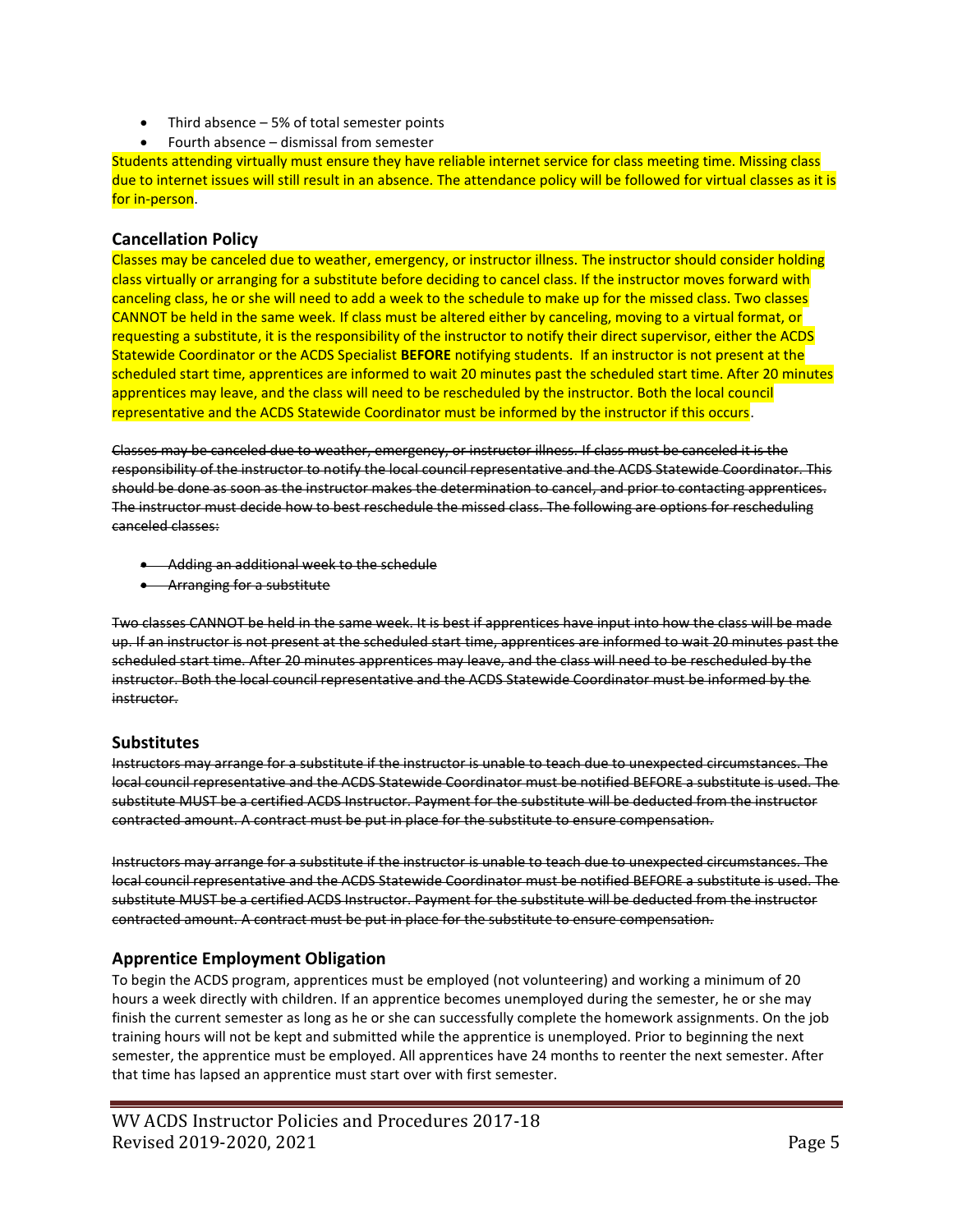- Third absence  $-5%$  of total semester points
- Fourth absence dismissal from semester

Students attending virtually must ensure they have reliable internet service for class meeting time. Missing class due to internet issues will still result in an absence. The attendance policy will be followed for virtual classes as it is for in-person.

## **Cancellation Policy**

Classes may be canceled due to weather, emergency, or instructor illness. The instructor should consider holding class virtually or arranging for a substitute before deciding to cancel class. If the instructor moves forward with canceling class, he or she will need to add a week to the schedule to make up for the missed class. Two classes CANNOT be held in the same week. If class must be altered either by canceling, moving to a virtual format, or requesting a substitute, it is the responsibility of the instructor to notify their direct supervisor, either the ACDS Statewide Coordinator or the ACDS Specialist **BEFORE** notifying students. If an instructor is not present at the scheduled start time, apprentices are informed to wait 20 minutes past the scheduled start time. After 20 minutes apprentices may leave, and the class will need to be rescheduled by the instructor. Both the local council representative and the ACDS Statewide Coordinator must be informed by the instructor if this occurs.

Classes may be canceled due to weather, emergency, or instructor illness. If class must be canceled it is the responsibility of the instructor to notify the local council representative and the ACDS Statewide Coordinator. This should be done as soon as the instructor makes the determination to cancel, and prior to contacting apprentices. The instructor must decide how to best reschedule the missed class. The following are options for rescheduling canceled classes:

- Adding an additional week to the schedule
- Arranging for a substitute

Two classes CANNOT be held in the same week. It is best if apprentices have input into how the class will be made up. If an instructor is not present at the scheduled start time, apprentices are informed to wait 20 minutes past the scheduled start time. After 20 minutes apprentices may leave, and the class will need to be rescheduled by the instructor. Both the local council representative and the ACDS Statewide Coordinator must be informed by the instructor.

## **Substitutes**

Instructors may arrange for a substitute if the instructor is unable to teach due to unexpected circumstances. The local council representative and the ACDS Statewide Coordinator must be notified BEFORE a substitute is used. The substitute MUST be a certified ACDS Instructor. Payment for the substitute will be deducted from the instructor contracted amount. A contract must be put in place for the substitute to ensure compensation.

Instructors may arrange for a substitute if the instructor is unable to teach due to unexpected circumstances. The local council representative and the ACDS Statewide Coordinator must be notified BEFORE a substitute is used. The substitute MUST be a certified ACDS Instructor. Payment for the substitute will be deducted from the instructor contracted amount. A contract must be put in place for the substitute to ensure compensation.

# **Apprentice Employment Obligation**

To begin the ACDS program, apprentices must be employed (not volunteering) and working a minimum of 20 hours a week directly with children. If an apprentice becomes unemployed during the semester, he or she may finish the current semester as long as he or she can successfully complete the homework assignments. On the job training hours will not be kept and submitted while the apprentice is unemployed. Prior to beginning the next semester, the apprentice must be employed. All apprentices have 24 months to reenter the next semester. After that time has lapsed an apprentice must start over with first semester.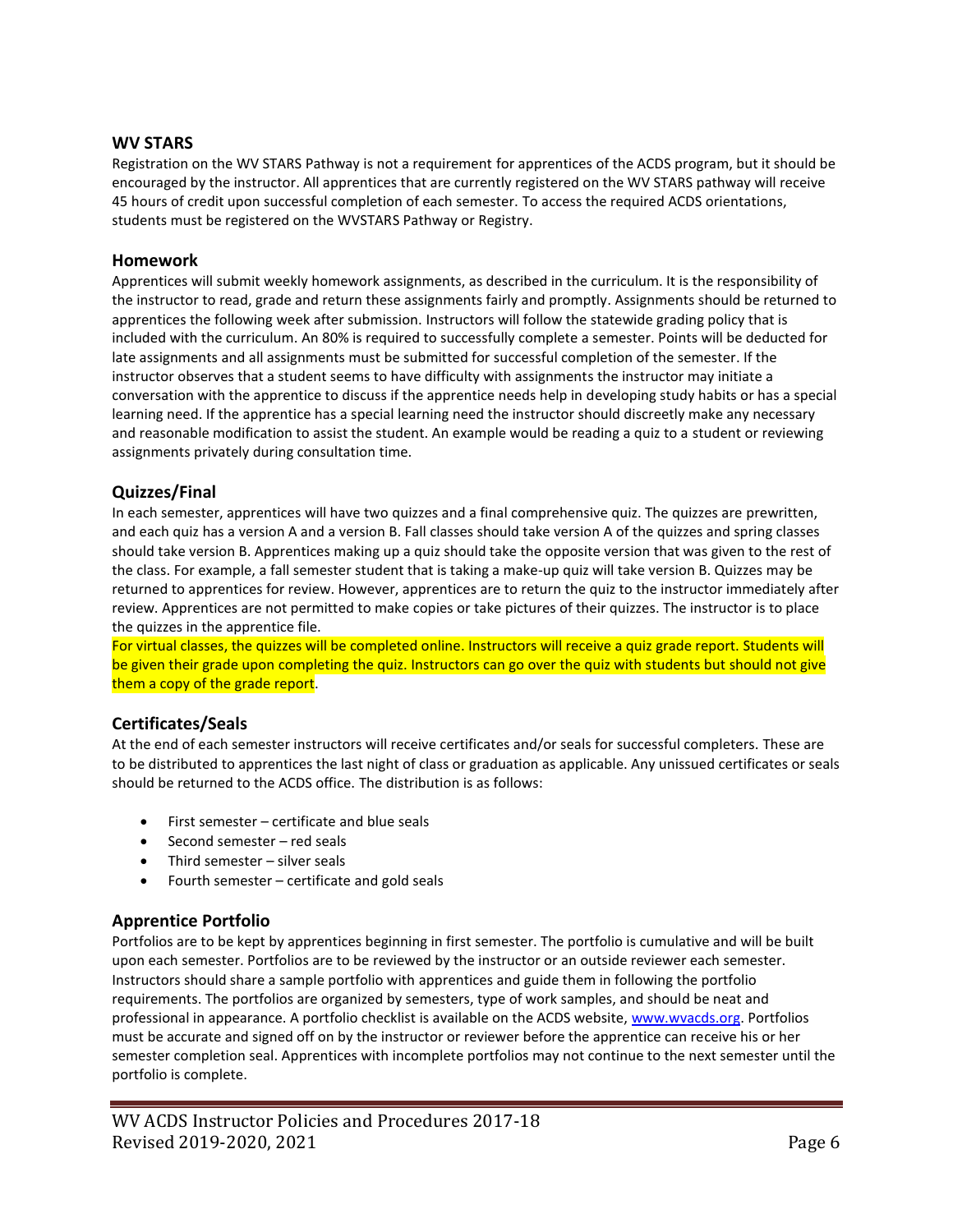### **WV STARS**

Registration on the WV STARS Pathway is not a requirement for apprentices of the ACDS program, but it should be encouraged by the instructor. All apprentices that are currently registered on the WV STARS pathway will receive 45 hours of credit upon successful completion of each semester. To access the required ACDS orientations, students must be registered on the WVSTARS Pathway or Registry.

#### **Homework**

Apprentices will submit weekly homework assignments, as described in the curriculum. It is the responsibility of the instructor to read, grade and return these assignments fairly and promptly. Assignments should be returned to apprentices the following week after submission. Instructors will follow the statewide grading policy that is included with the curriculum. An 80% is required to successfully complete a semester. Points will be deducted for late assignments and all assignments must be submitted for successful completion of the semester. If the instructor observes that a student seems to have difficulty with assignments the instructor may initiate a conversation with the apprentice to discuss if the apprentice needs help in developing study habits or has a special learning need. If the apprentice has a special learning need the instructor should discreetly make any necessary and reasonable modification to assist the student. An example would be reading a quiz to a student or reviewing assignments privately during consultation time.

## **Quizzes/Final**

In each semester, apprentices will have two quizzes and a final comprehensive quiz. The quizzes are prewritten, and each quiz has a version A and a version B. Fall classes should take version A of the quizzes and spring classes should take version B. Apprentices making up a quiz should take the opposite version that was given to the rest of the class. For example, a fall semester student that is taking a make-up quiz will take version B. Quizzes may be returned to apprentices for review. However, apprentices are to return the quiz to the instructor immediately after review. Apprentices are not permitted to make copies or take pictures of their quizzes. The instructor is to place the quizzes in the apprentice file.

For virtual classes, the quizzes will be completed online. Instructors will receive a quiz grade report. Students will be given their grade upon completing the quiz. Instructors can go over the quiz with students but should not give them a copy of the grade report.

## **Certificates/Seals**

At the end of each semester instructors will receive certificates and/or seals for successful completers. These are to be distributed to apprentices the last night of class or graduation as applicable. Any unissued certificates or seals should be returned to the ACDS office. The distribution is as follows:

- First semester certificate and blue seals
- Second semester red seals
- Third semester silver seals
- Fourth semester certificate and gold seals

# **Apprentice Portfolio**

Portfolios are to be kept by apprentices beginning in first semester. The portfolio is cumulative and will be built upon each semester. Portfolios are to be reviewed by the instructor or an outside reviewer each semester. Instructors should share a sample portfolio with apprentices and guide them in following the portfolio requirements. The portfolios are organized by semesters, type of work samples, and should be neat and professional in appearance. A portfolio checklist is available on the ACDS website, [www.wvacds.org.](http://www.wvacds.org/) Portfolios must be accurate and signed off on by the instructor or reviewer before the apprentice can receive his or her semester completion seal. Apprentices with incomplete portfolios may not continue to the next semester until the portfolio is complete.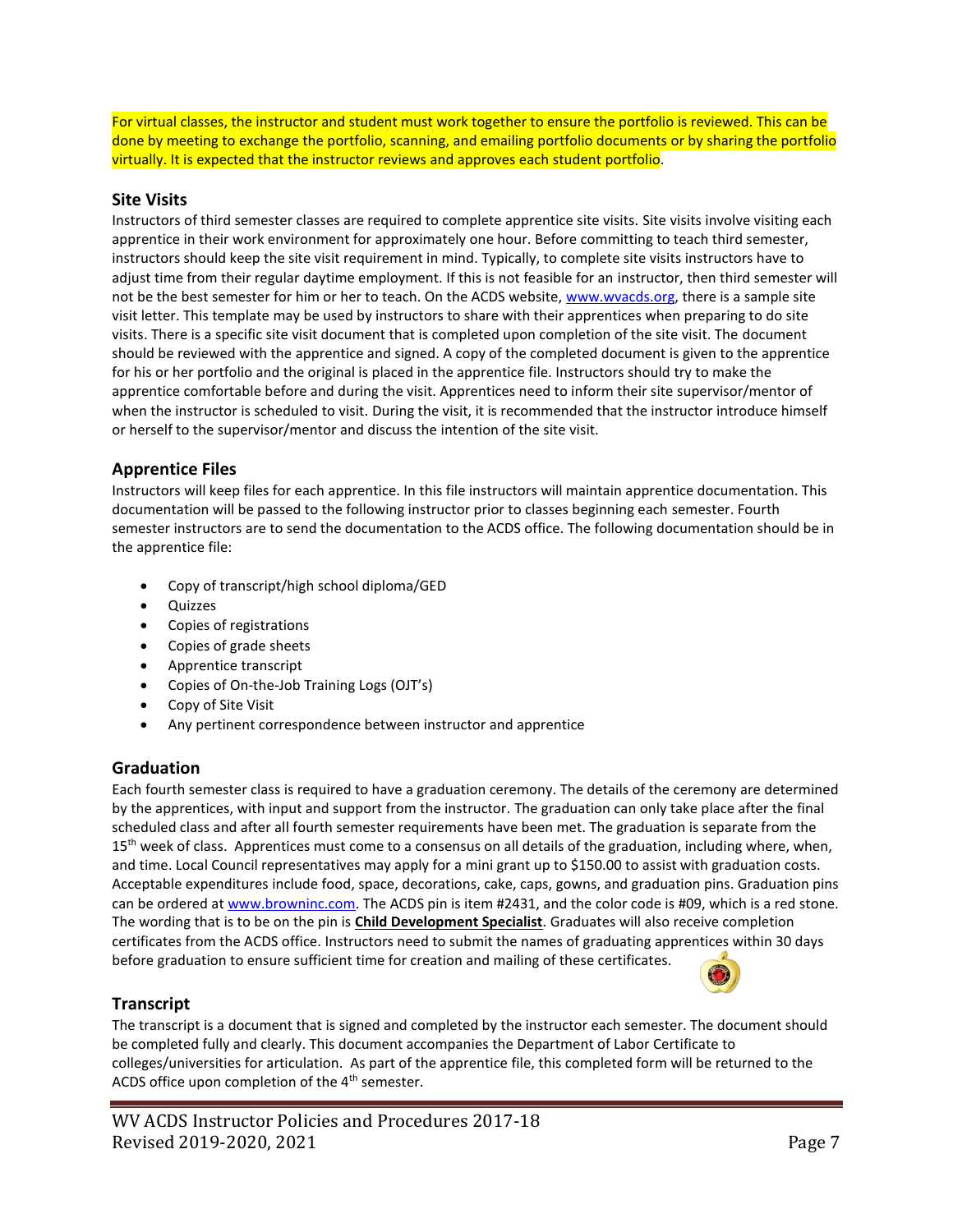For virtual classes, the instructor and student must work together to ensure the portfolio is reviewed. This can be done by meeting to exchange the portfolio, scanning, and emailing portfolio documents or by sharing the portfolio virtually. It is expected that the instructor reviews and approves each student portfolio.

## **Site Visits**

Instructors of third semester classes are required to complete apprentice site visits. Site visits involve visiting each apprentice in their work environment for approximately one hour. Before committing to teach third semester, instructors should keep the site visit requirement in mind. Typically, to complete site visits instructors have to adjust time from their regular daytime employment. If this is not feasible for an instructor, then third semester will not be the best semester for him or her to teach. On the ACDS website, [www.wvacds.org,](http://www.wvacds.org/) there is a sample site visit letter. This template may be used by instructors to share with their apprentices when preparing to do site visits. There is a specific site visit document that is completed upon completion of the site visit. The document should be reviewed with the apprentice and signed. A copy of the completed document is given to the apprentice for his or her portfolio and the original is placed in the apprentice file. Instructors should try to make the apprentice comfortable before and during the visit. Apprentices need to inform their site supervisor/mentor of when the instructor is scheduled to visit. During the visit, it is recommended that the instructor introduce himself or herself to the supervisor/mentor and discuss the intention of the site visit.

# **Apprentice Files**

Instructors will keep files for each apprentice. In this file instructors will maintain apprentice documentation. This documentation will be passed to the following instructor prior to classes beginning each semester. Fourth semester instructors are to send the documentation to the ACDS office. The following documentation should be in the apprentice file:

- Copy of transcript/high school diploma/GED
- Quizzes
- Copies of registrations
- Copies of grade sheets
- Apprentice transcript
- Copies of On-the-Job Training Logs (OJT's)
- Copy of Site Visit
- Any pertinent correspondence between instructor and apprentice

# **Graduation**

Each fourth semester class is required to have a graduation ceremony. The details of the ceremony are determined by the apprentices, with input and support from the instructor. The graduation can only take place after the final scheduled class and after all fourth semester requirements have been met. The graduation is separate from the 15<sup>th</sup> week of class. Apprentices must come to a consensus on all details of the graduation, including where, when, and time. Local Council representatives may apply for a mini grant up to \$150.00 to assist with graduation costs. Acceptable expenditures include food, space, decorations, cake, caps, gowns, and graduation pins. Graduation pins can be ordered a[t www.browninc.com.](http://www.browninc.com/) The ACDS pin is item #2431, and the color code is #09, which is a red stone. The wording that is to be on the pin is **Child Development Specialist**. Graduates will also receive completion certificates from the ACDS office. Instructors need to submit the names of graduating apprentices within 30 days before graduation to ensure sufficient time for creation and mailing of these certificates.



## **Transcript**

The transcript is a document that is signed and completed by the instructor each semester. The document should be completed fully and clearly. This document accompanies the Department of Labor Certificate to colleges/universities for articulation. As part of the apprentice file, this completed form will be returned to the ACDS office upon completion of the 4<sup>th</sup> semester.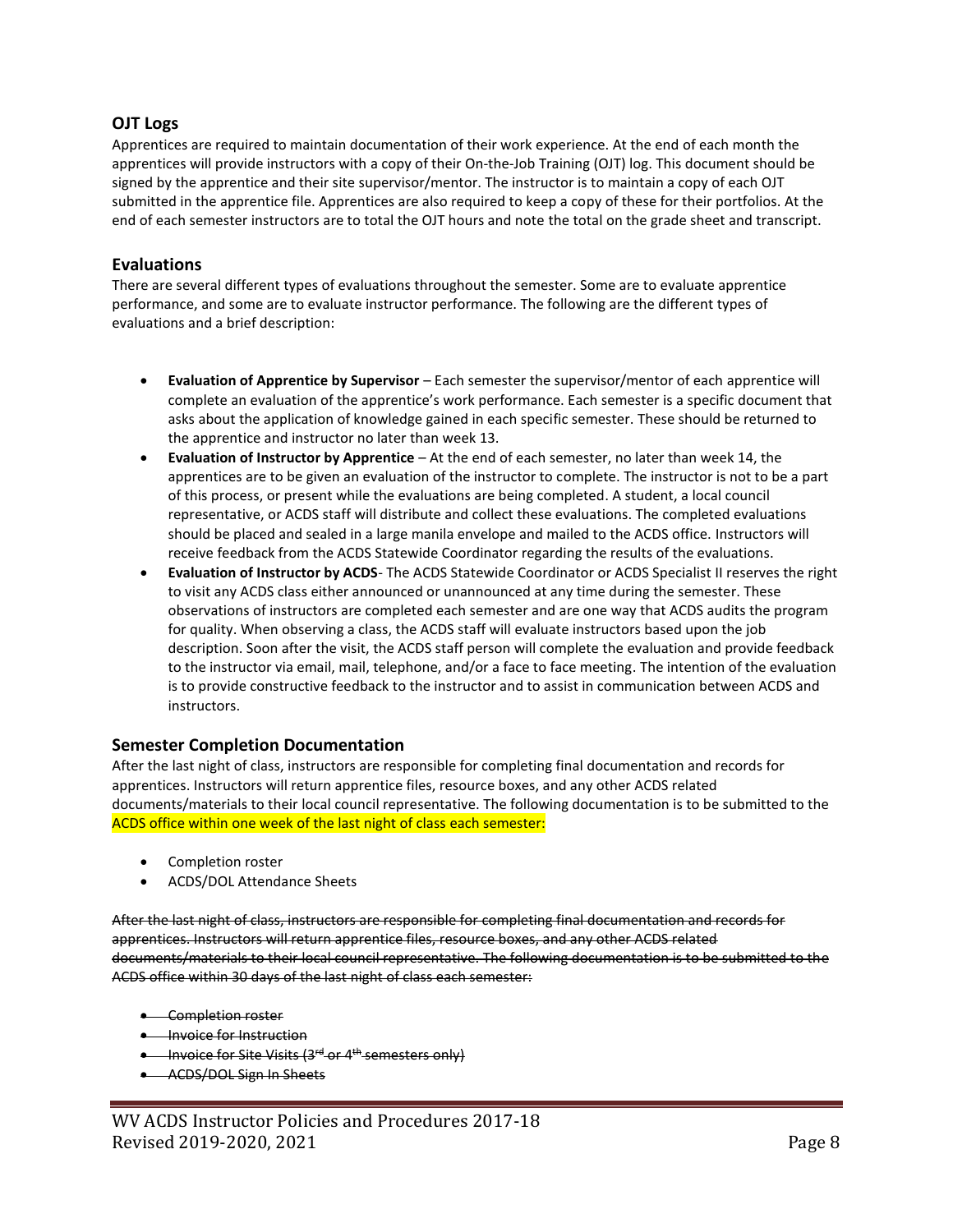## **OJT Logs**

Apprentices are required to maintain documentation of their work experience. At the end of each month the apprentices will provide instructors with a copy of their On-the-Job Training (OJT) log. This document should be signed by the apprentice and their site supervisor/mentor. The instructor is to maintain a copy of each OJT submitted in the apprentice file. Apprentices are also required to keep a copy of these for their portfolios. At the end of each semester instructors are to total the OJT hours and note the total on the grade sheet and transcript.

## **Evaluations**

There are several different types of evaluations throughout the semester. Some are to evaluate apprentice performance, and some are to evaluate instructor performance. The following are the different types of evaluations and a brief description:

- **Evaluation of Apprentice by Supervisor** Each semester the supervisor/mentor of each apprentice will complete an evaluation of the apprentice's work performance. Each semester is a specific document that asks about the application of knowledge gained in each specific semester. These should be returned to the apprentice and instructor no later than week 13.
- **Evaluation of Instructor by Apprentice** At the end of each semester, no later than week 14, the apprentices are to be given an evaluation of the instructor to complete. The instructor is not to be a part of this process, or present while the evaluations are being completed. A student, a local council representative, or ACDS staff will distribute and collect these evaluations. The completed evaluations should be placed and sealed in a large manila envelope and mailed to the ACDS office. Instructors will receive feedback from the ACDS Statewide Coordinator regarding the results of the evaluations.
- **Evaluation of Instructor by ACDS** The ACDS Statewide Coordinator or ACDS Specialist II reserves the right to visit any ACDS class either announced or unannounced at any time during the semester. These observations of instructors are completed each semester and are one way that ACDS audits the program for quality. When observing a class, the ACDS staff will evaluate instructors based upon the job description. Soon after the visit, the ACDS staff person will complete the evaluation and provide feedback to the instructor via email, mail, telephone, and/or a face to face meeting. The intention of the evaluation is to provide constructive feedback to the instructor and to assist in communication between ACDS and instructors.

## **Semester Completion Documentation**

After the last night of class, instructors are responsible for completing final documentation and records for apprentices. Instructors will return apprentice files, resource boxes, and any other ACDS related documents/materials to their local council representative. The following documentation is to be submitted to the ACDS office within one week of the last night of class each semester:

- Completion roster
- ACDS/DOL Attendance Sheets

After the last night of class, instructors are responsible for completing final documentation and records for apprentices. Instructors will return apprentice files, resource boxes, and any other ACDS related documents/materials to their local council representative. The following documentation is to be submitted to the ACDS office within 30 days of the last night of class each semester:

- Completion roster
- **•** Invoice for Instruction
- Invoice for Site Visits (3<sup>rd</sup> or 4<sup>th</sup> semesters only)
- ACDS/DOL Sign In Sheets